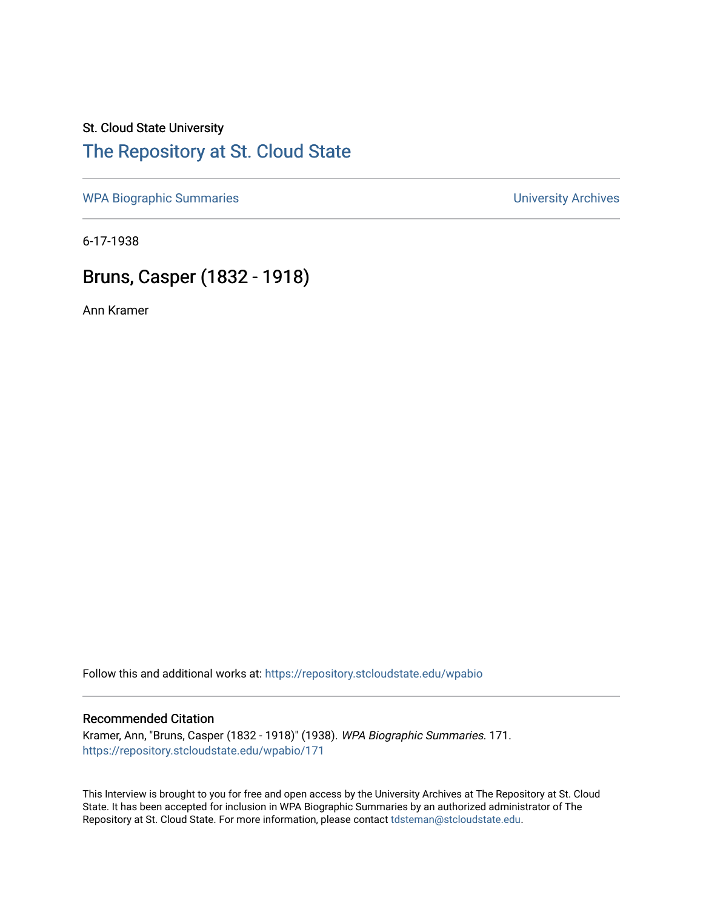# St. Cloud State University

## [The Repository at St. Cloud State](https://repository.stcloudstate.edu/)

[WPA Biographic Summaries](https://repository.stcloudstate.edu/wpabio) **WPA Biographic Summaries University Archives** 

6-17-1938

### Bruns, Casper (1832 - 1918)

Ann Kramer

Follow this and additional works at: [https://repository.stcloudstate.edu/wpabio](https://repository.stcloudstate.edu/wpabio?utm_source=repository.stcloudstate.edu%2Fwpabio%2F171&utm_medium=PDF&utm_campaign=PDFCoverPages) 

#### Recommended Citation

Kramer, Ann, "Bruns, Casper (1832 - 1918)" (1938). WPA Biographic Summaries. 171. [https://repository.stcloudstate.edu/wpabio/171](https://repository.stcloudstate.edu/wpabio/171?utm_source=repository.stcloudstate.edu%2Fwpabio%2F171&utm_medium=PDF&utm_campaign=PDFCoverPages) 

This Interview is brought to you for free and open access by the University Archives at The Repository at St. Cloud State. It has been accepted for inclusion in WPA Biographic Summaries by an authorized administrator of The Repository at St. Cloud State. For more information, please contact [tdsteman@stcloudstate.edu.](mailto:tdsteman@stcloudstate.edu)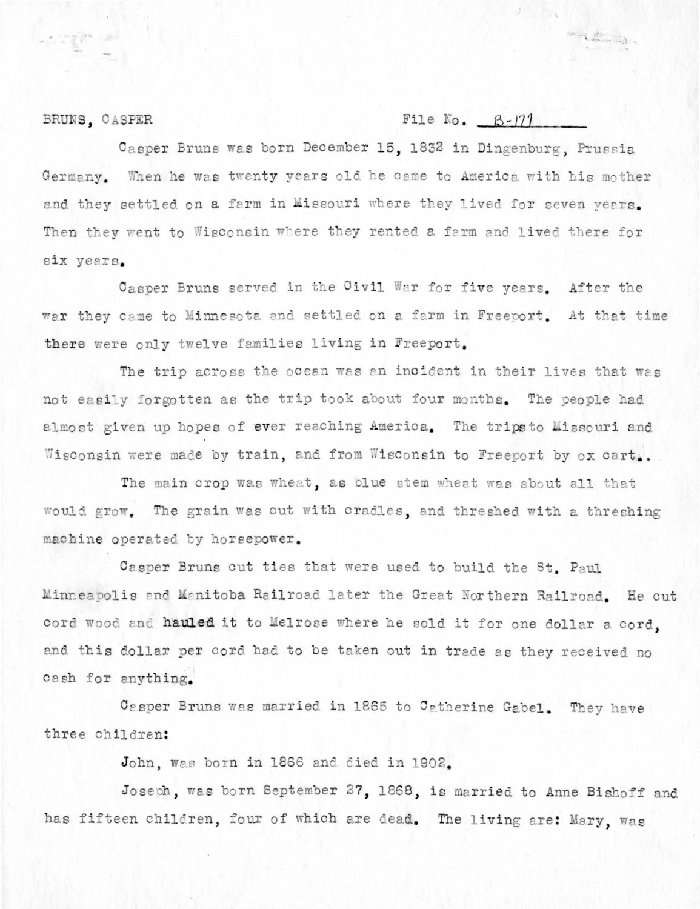#### BRUNS, CASPER

### File No.  $B-171$

Casper Bruns was born December 15, 1832 in Dingenburg, Prussia Germany. When he was twenty years old he came to America with his mother and they settled on a farm in Missouri where they lived for seven years. Then they went to Wisconsin where they rented a farm and lived there for six years.

Casper Bruns served in the Civil War for five years. After the war they came to Minnesota and settled on a farm in Freeport. At that time there were only twelve families living in Freeport.

The trip across the ocean was an incident in their lives that was not easily forgotten as the trip took about four months. The people had almost given up hopes of ever reaching America. The tripsto Missouri and Wisconsin were made by train, and from Wisconsin to Freeport by ox cart..

The main crop was wheat, as blue stem wheat was about all that would grow. The grain was cut with cradles, and threshed with a threshing machine operated by horsepower.

Casper Bruns cut ties that were used to build the St. Paul Minneapolis and Manitoba Railroad later the Great Northern Railroad. He cut cord wood and hauled it to Melrose where he sold it for one dollar a cord. and this dollar per cord had to be taken out in trade as they received no cash for anything.

Casper Bruns was married in 1865 to Catherine Gabel. They have three children:

John, was born in 1866 and died in 1902.

Joseph, was born September 27, 1868, is married to Anne Bishoff and has fifteen children, four of which are dead. The living are: Mary, was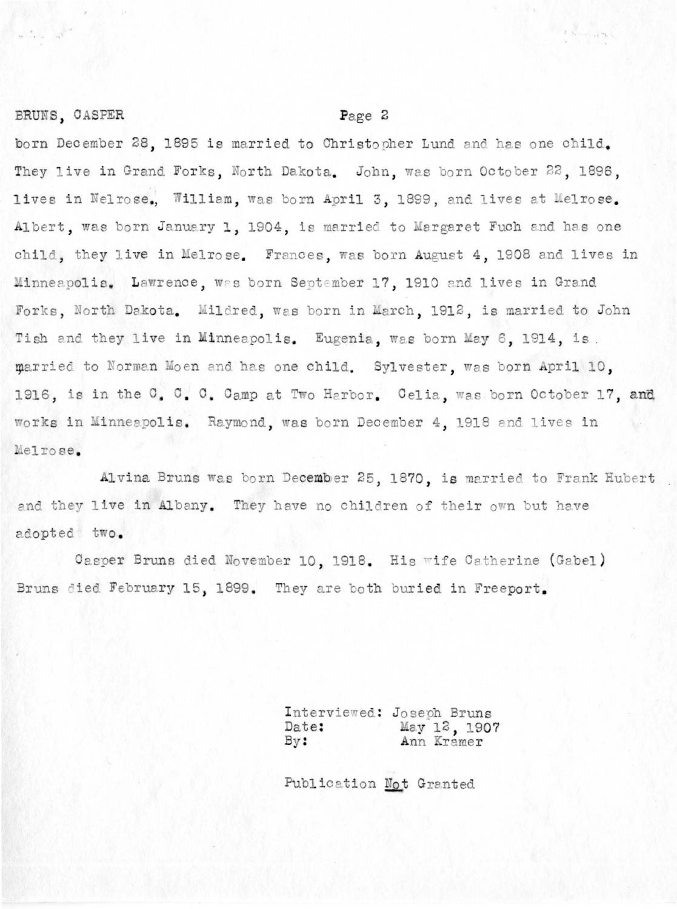#### BRUNS, CASPER

#### Page 2

born December 28, 1895 is married to Christopher Lund and has one child. They live in Grand Forks, North Dakota. John, was born October 22, 1896, lives in Nelrose, William, was born April 3, 1899, and lives at Melrose. Albert, was born January 1, 1904, is married to Margaret Fuch and has one child, they live in Melrose. Frances, was born August 4, 1908 and lives in Minneapolis. Lawrence, was born September 17, 1910 and lives in Grand Forks, North Dakota. Mildred, was born in March, 1912, is married to John Tish and they live in Minneapolis. Eugenia, was born May 6, 1914, is. married to Norman Moen and has one child. Sylvester, was born April 10, 1916, is in the C. C. C. Camp at Two Harbor. Celia, was born October 17, and works in Minneapolis. Raymond, was born December 4, 1918 and lives in Melrose.

Alvina Bruns was born December 25, 1870, is married to Frank Hubert and they live in Albany. They have no children of their own but have adopted two.

Casper Bruns died November 10, 1918. His wife Catherine (Gabel) Bruns died February 15, 1899. They are both buried in Freeport.

> Interviewed: Joseph Bruns May 12, 1907 Date:  $By:$ Ann Kramer

Publication Not Granted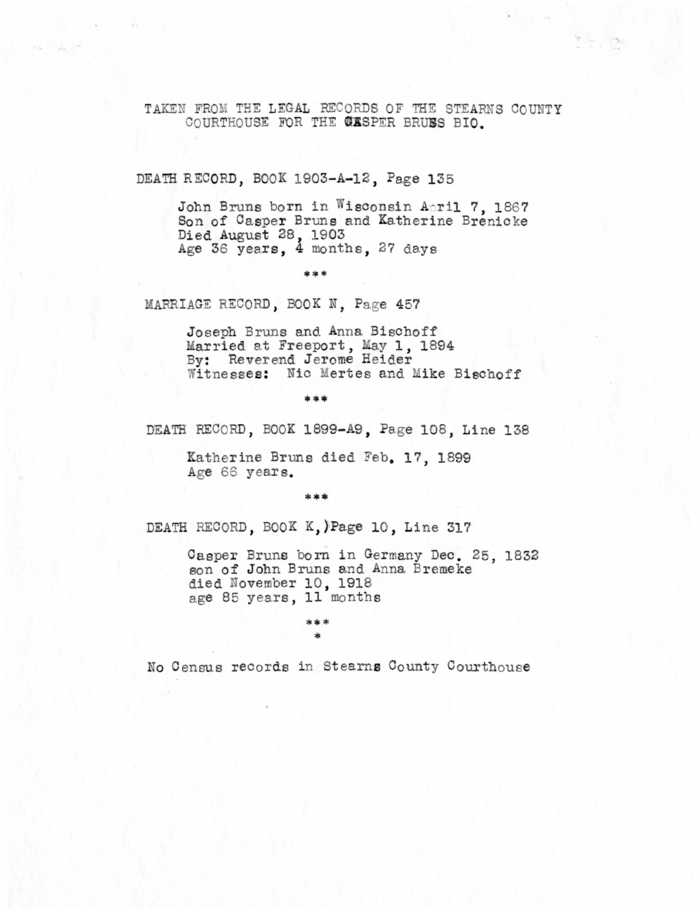TAKEN FROM THE LEGAL RECORDS OF THE STEARNS COUNTY COURTHOUSE FOR THE CASPER BRUSS BIO.

DEATH RECORD, BOOK 1903-A-12, Page 135

John Bruns born in Wisconsin April 7, 1867 Son of Casper Bruns and Katherine Brenicke Died August 28, 1903<br>Age 36 years, 4 months, 27 days

\*\*\*

MARRIAGE RECORD, BOOK N. Page 457

Joseph Bruns and Anna Bischoff Married at Freeport, May 1, 1894<br>By: Reverend Jerome Heider Witnesses: Nic Mertes and Mike Bischoff

DEATH RECORD, BOOK 1899-A9, Page 108, Line 138

Katherine Bruns died Feb. 17, 1899 Age 66 years.

sk sk sk

DEATH RECORD, BOOK K, )Page 10, Line 317

Casper Bruns born in Germany Dec. 25, 1832 son of John Bruns and Anna Bremeke died November 10, 1918 age 85 years, 11 months

\*\*\*

No Census records in Stearns County Courthouse